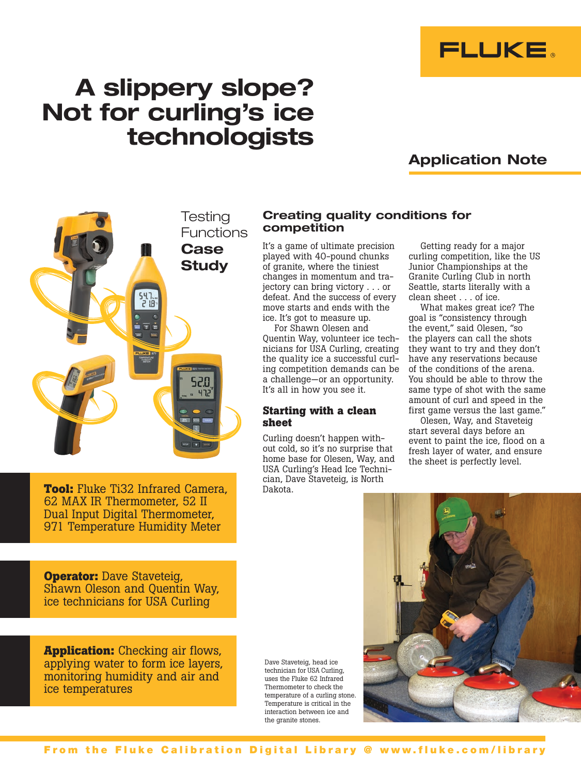

# A slippery slope? Not for curling's ice technologists

# Application Note



**Tool:** Fluke Ti32 Infrared Camera, 62 MAX IR Thermometer, 52 II Dual Input Digital Thermometer, 971 Temperature Humidity Meter

**Operator:** Dave Staveteig, Shawn Oleson and Quentin Way, ice technicians for USA Curling

**Application:** Checking air flows, applying water to form ice layers, monitoring humidity and air and ice temperatures

Dave Staveteig, head ice technician for USA Curling, uses the Fluke 62 Infrared Thermometer to check the temperature of a curling stone. Temperature is critical in the interaction between ice and the granite stones.

# Creating quality conditions for competition

It's a game of ultimate precision played with 40-pound chunks of granite, where the tiniest changes in momentum and trajectory can bring victory . . . or defeat. And the success of every move starts and ends with the ice. It's got to measure up.

For Shawn Olesen and Quentin Way, volunteer ice technicians for USA Curling, creating the quality ice a successful curling competition demands can be a challenge—or an opportunity. It's all in how you see it.

## **Starting with a clean sheet**

Curling doesn't happen without cold, so it's no surprise that home base for Olesen, Way, and USA Curling's Head Ice Technician, Dave Staveteig, is North Dakota.

Getting ready for a major curling competition, like the US Junior Championships at the Granite Curling Club in north Seattle, starts literally with a

clean sheet . . . of ice. What makes great ice? The goal is "consistency through the event," said Olesen, "so the players can call the shots they want to try and they don't have any reservations because of the conditions of the arena. You should be able to throw the same type of shot with the same amount of curl and speed in the first game versus the last game."

Olesen, Way, and Staveteig start several days before an event to paint the ice, flood on a fresh layer of water, and ensure the sheet is perfectly level.

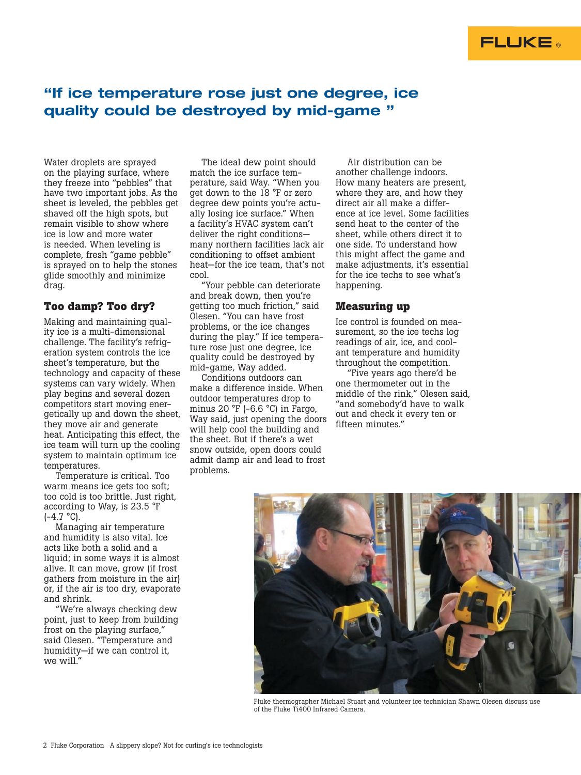# "If ice temperature rose just one degree, ice quality could be destroyed by mid-game "

Water droplets are sprayed on the playing surface, where they freeze into "pebbles" that have two important jobs. As the sheet is leveled, the pebbles get shaved off the high spots, but remain visible to show where ice is low and more water is needed. When leveling is complete, fresh "game pebble" is sprayed on to help the stones glide smoothly and minimize drag.

## **Too damp? Too dry?**

Making and maintaining quality ice is a multi-dimensional challenge. The facility's refrigeration system controls the ice sheet's temperature, but the technology and capacity of these systems can vary widely. When play begins and several dozen competitors start moving energetically up and down the sheet, they move air and generate heat. Anticipating this effect, the ice team will turn up the cooling system to maintain optimum ice temperatures.

Temperature is critical. Too warm means ice gets too soft; too cold is too brittle. Just right, according to Way, is 23.5 °F  $(-4.7 °C)$ .

Managing air temperature and humidity is also vital. Ice acts like both a solid and a liquid; in some ways it is almost alive. It can move, grow (if frost gathers from moisture in the air) or, if the air is too dry, evaporate and shrink.

"We're always checking dew point, just to keep from building frost on the playing surface," said Olesen. "Temperature and humidity—if we can control it, we will."

The ideal dew point should match the ice surface temperature, said Way. "When you get down to the 18 °F or zero degree dew points you're actually losing ice surface." When a facility's HVAC system can't deliver the right conditions many northern facilities lack air conditioning to offset ambient heat—for the ice team, that's not cool.

"Your pebble can deteriorate and break down, then you're getting too much friction," said Olesen. "You can have frost problems, or the ice changes during the play." If ice temperature rose just one degree, ice quality could be destroyed by mid-game, Way added.

Conditions outdoors can make a difference inside. When outdoor temperatures drop to minus 20 °F (-6.6 °C) in Fargo, Way said, just opening the doors will help cool the building and the sheet. But if there's a wet snow outside, open doors could admit damp air and lead to frost problems.

Air distribution can be another challenge indoors. How many heaters are present, where they are, and how they direct air all make a difference at ice level. Some facilities send heat to the center of the sheet, while others direct it to one side. To understand how this might affect the game and make adjustments, it's essential for the ice techs to see what's happening.

## **Measuring up**

Ice control is founded on measurement, so the ice techs log readings of air, ice, and coolant temperature and humidity throughout the competition.

"Five years ago there'd be one thermometer out in the middle of the rink," Olesen said, "and somebody'd have to walk out and check it every ten or fifteen minutes."



Fluke thermographer Michael Stuart and volunteer ice technician Shawn Olesen discuss use of the Fluke Ti400 Infrared Camera.